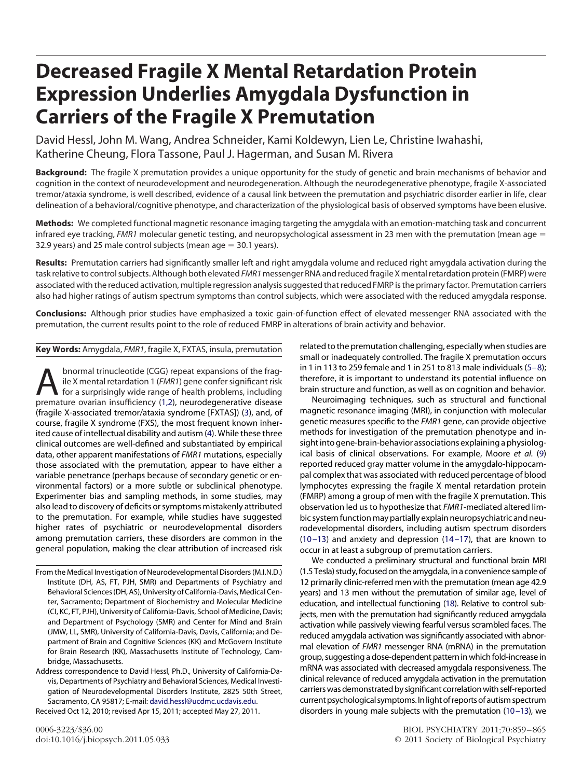# **Decreased Fragile X Mental Retardation Protein Expression Underlies Amygdala Dysfunction in Carriers of the Fragile X Premutation**

David Hessl, John M. Wang, Andrea Schneider, Kami Koldewyn, Lien Le, Christine Iwahashi, Katherine Cheung, Flora Tassone, Paul J. Hagerman, and Susan M. Rivera

**Background:** The fragile X premutation provides a unique opportunity for the study of genetic and brain mechanisms of behavior and cognition in the context of neurodevelopment and neurodegeneration. Although the neurodegenerative phenotype, fragile X-associated tremor/ataxia syndrome, is well described, evidence of a causal link between the premutation and psychiatric disorder earlier in life, clear delineation of a behavioral/cognitive phenotype, and characterization of the physiological basis of observed symptoms have been elusive.

**Methods:** We completed functional magnetic resonance imaging targeting the amygdala with an emotion-matching task and concurrent infrared eye tracking, *FMR1* molecular genetic testing, and neuropsychological assessment in 23 men with the premutation (mean age = 32.9 years) and 25 male control subjects (mean age  $=$  30.1 years).

**Results:** Premutation carriers had significantly smaller left and right amygdala volume and reduced right amygdala activation during the task relative to control subjects. Although both elevated *FMR1*messenger RNA and reducedfragile X mental retardation protein(FMRP) were associated with the reduced activation, multiple regression analysis suggested that reduced FMRP is the primary factor. Premutation carriers also had higher ratings of autism spectrum symptoms than control subjects, which were associated with the reduced amygdala response.

**Conclusions:** Although prior studies have emphasized a toxic gain-of-function effect of elevated messenger RNA associated with the premutation, the current results point to the role of reduced FMRP in alterations of brain activity and behavior.

**Key Words:** Amygdala, *FMR1*, fragile X, FXTAS, insula, premutation

**A** bnormal trinucleotide (CGG) repeat expansions of the frag-<br>ile X mental retardation 1 (*FMR1*) gene confer significant risk<br>for a surprisingly wide range of health problems, including<br>premature ovarian insufficiency (1 ile X mental retardation 1 (*FMR1*) gene confer significant risk premature ovarian insufficiency [\(1,2\)](#page-5-0), neurodegenerative disease (fragile X-associated tremor/ataxia syndrome [FXTAS]) [\(3\)](#page-5-1), and, of course, fragile X syndrome (FXS), the most frequent known inherited cause of intellectual disability and autism [\(4\)](#page-5-2). While these three clinical outcomes are well-defined and substantiated by empirical data, other apparent manifestations of *FMR1* mutations, especially those associated with the premutation, appear to have either a variable penetrance (perhaps because of secondary genetic or environmental factors) or a more subtle or subclinical phenotype. Experimenter bias and sampling methods, in some studies, may also lead to discovery of deficits or symptoms mistakenly attributed to the premutation. For example, while studies have suggested higher rates of psychiatric or neurodevelopmental disorders among premutation carriers, these disorders are common in the general population, making the clear attribution of increased risk

From the Medical Investigation of Neurodevelopmental Disorders (M.I.N.D.) Institute (DH, AS, FT, PJH, SMR) and Departments of Psychiatry and Behavioral Sciences (DH, AS), University of California-Davis, Medical Center, Sacramento; Department of Biochemistry and Molecular Medicine (CI, KC, FT, PJH), University of California-Davis, School of Medicine, Davis; and Department of Psychology (SMR) and Center for Mind and Brain (JMW, LL, SMR), University of California-Davis, Davis, California; and Department of Brain and Cognitive Sciences (KK) and McGovern Institute for Brain Research (KK), Massachusetts Institute of Technology, Cambridge, Massachusetts.

Address correspondence to David Hessl, Ph.D., University of California-Davis, Departments of Psychiatry and Behavioral Sciences, Medical Investigation of Neurodevelopmental Disorders Institute, 2825 50th Street, Sacramento, CA 95817; E-mail: [david.hessl@ucdmc.ucdavis.edu.](mailto:david.hessl@ucdmc.ucdavis.edu) Received Oct 12, 2010; revised Apr 15, 2011; accepted May 27, 2011.

related to the premutation challenging, especially when studies are small or inadequately controlled. The fragile X premutation occurs in 1 in 113 to 259 female and 1 in 251 to 813 male individuals  $(5-8)$ ; therefore, it is important to understand its potential influence on brain structure and function, as well as on cognition and behavior.

Neuroimaging techniques, such as structural and functional magnetic resonance imaging (MRI), in conjunction with molecular genetic measures specific to the *FMR1* gene, can provide objective methods for investigation of the premutation phenotype and insight into gene-brain-behavior associations explaining a physiological basis of clinical observations. For example, Moore *et al.* [\(9\)](#page-6-0) reported reduced gray matter volume in the amygdalo-hippocampal complex that was associated with reduced percentage of blood lymphocytes expressing the fragile X mental retardation protein (FMRP) among a group of men with the fragile X premutation. This observation led us to hypothesize that *FMR1*-mediated altered limbic system function may partially explain neuropsychiatric and neurodevelopmental disorders, including autism spectrum disorders (10-13) and anxiety and depression  $(14-17)$ , that are known to occur in at least a subgroup of premutation carriers.

We conducted a preliminary structural and functional brain MRI (1.5 Tesla) study,focused on the amygdala, in a convenience sample of 12 primarily clinic-referred men with the premutation (mean age 42.9 years) and 13 men without the premutation of similar age, level of education, and intellectual functioning [\(18\)](#page-6-3). Relative to control subjects, men with the premutation had significantly reduced amygdala activation while passively viewing fearful versus scrambled faces. The reduced amygdala activation was significantly associated with abnormal elevation of *FMR1* messenger RNA (mRNA) in the premutation group, suggesting a dose-dependent pattern in which fold-increase in mRNA was associated with decreased amygdala responsiveness. The clinical relevance of reduced amygdala activation in the premutation carriers was demonstrated by significant correlation with self-reported current psychological symptoms. In light of reports of autism spectrum disorders in young male subjects with the premutation [\(10 –13\)](#page-6-1), we

0006-3223/\$36.00 BIOL PSYCHIATRY 2011;70:859 – 865 doi:10.1016/j.biopsych.2011.05.033 © 2011 Society of Biological Psychiatry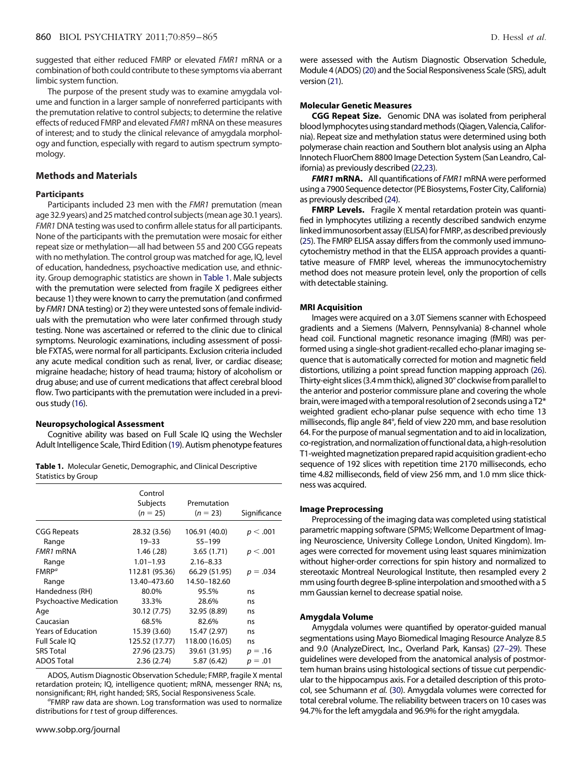suggested that either reduced FMRP or elevated *FMR1* mRNA or a combination of both could contribute to these symptoms via aberrant limbic system function.

The purpose of the present study was to examine amygdala volume and function in a larger sample of nonreferred participants with the premutation relative to control subjects; to determine the relative effects of reduced FMRP and elevated *FMR1* mRNA on these measures of interest; and to study the clinical relevance of amygdala morphology and function, especially with regard to autism spectrum symptomology.

# **Methods and Materials**

# **Participants**

Participants included 23 men with the *FMR1* premutation (mean age 32.9 years) and 25 matched control subjects (mean age 30.1 years). *FMR1*DNA testing was used to confirm allele status for all participants. None of the participants with the premutation were mosaic for either repeat size or methylation—all had between 55 and 200 CGG repeats with no methylation. The control group was matched for age, IQ, level of education, handedness, psychoactive medication use, and ethnicity. Group demographic statistics are shown in [Table 1.](#page-1-0) Male subjects with the premutation were selected from fragile X pedigrees either because 1) they were known to carry the premutation (and confirmed by *FMR1* DNA testing) or 2) they were untested sons of female individuals with the premutation who were later confirmed through study testing. None was ascertained or referred to the clinic due to clinical symptoms. Neurologic examinations, including assessment of possible FXTAS, were normal for all participants. Exclusion criteria included any acute medical condition such as renal, liver, or cardiac disease; migraine headache; history of head trauma; history of alcoholism or drug abuse; and use of current medications that affect cerebral blood flow. Two participants with the premutation were included in a previous study [\(16\)](#page-6-4).

# **Neuropsychological Assessment**

Cognitive ability was based on Full Scale IQ using the Wechsler Adult Intelligence Scale, Third Edition [\(19\)](#page-6-5). Autism phenotype features

<span id="page-1-0"></span>**Table 1.** Molecular Genetic, Demographic, and Clinical Descriptive Statistics by Group

|                                | Control<br>Subjects<br>$(n = 25)$ | Premutation<br>$(n = 23)$ | Significance |
|--------------------------------|-----------------------------------|---------------------------|--------------|
| <b>CGG Repeats</b>             | 28.32 (3.56)                      | 106.91 (40.0)             | p < .001     |
| Range                          | $19 - 33$                         | $55 - 199$                |              |
| FMR1 mRNA                      | 1.46(.28)                         | 3.65(1.71)                | p < .001     |
| Range                          | $1.01 - 1.93$                     | $2.16 - 8.33$             |              |
| FMRP <sup>a</sup>              | 112.81 (95.36)                    | 66.29 (51.95)             | $p = .034$   |
| Range                          | 13.40-473.60                      | 14.50-182.60              |              |
| Handedness (RH)                | 80.0%                             | 95.5%                     | ns           |
| <b>Psychoactive Medication</b> | 33.3%                             | 28.6%                     | ns           |
| Age                            | 30.12 (7.75)                      | 32.95 (8.89)              | ns           |
| Caucasian                      | 68.5%                             | 82.6%                     | ns           |
| <b>Years of Education</b>      | 15.39 (3.60)                      | 15.47 (2.97)              | ns           |
| <b>Full Scale IO</b>           | 125.52 (17.77)                    | 118.00 (16.05)            | ns           |
| <b>SRS Total</b>               | 27.96 (23.75)                     | 39.61 (31.95)             | $p = .16$    |
| <b>ADOS Total</b>              | 2.36(2.74)                        | 5.87 (6.42)               | $p = .01$    |

ADOS, Autism Diagnostic Observation Schedule; FMRP, fragile X mental retardation protein; IQ, intelligence quotient; mRNA, messenger RNA; ns, nonsignificant; RH, right handed; SRS, Social Responsiveness Scale. *<sup>a</sup>*

<sup>a</sup>FMRP raw data are shown. Log transformation was used to normalize distributions for *t* test of group differences.

were assessed with the Autism Diagnostic Observation Schedule, Module 4 (ADOS) [\(20\)](#page-6-6) and the Social Responsiveness Scale (SRS), adult version [\(21\)](#page-6-7).

#### **Molecular Genetic Measures**

**CGG Repeat Size.** Genomic DNA was isolated from peripheral blood lymphocytes using standard methods (Qiagen, Valencia, California). Repeat size and methylation status were determined using both polymerase chain reaction and Southern blot analysis using an Alpha Innotech FluorChem 8800 Image Detection System (San Leandro, California) as previously described [\(22,23\)](#page-6-8).

*FMR1* **mRNA.** All quantifications of *FMR1* mRNA were performed using a 7900 Sequence detector(PE Biosystems, Foster City, California) as previously described [\(24\)](#page-6-9).

**FMRP Levels.** Fragile X mental retardation protein was quantified in lymphocytes utilizing a recently described sandwich enzyme linked immunosorbent assay (ELISA) for FMRP, as described previously [\(25\)](#page-6-10). The FMRP ELISA assay differs from the commonly used immunocytochemistry method in that the ELISA approach provides a quantitative measure of FMRP level, whereas the immunocytochemistry method does not measure protein level, only the proportion of cells with detectable staining.

#### **MRI Acquisition**

Images were acquired on a 3.0T Siemens scanner with Echospeed gradients and a Siemens (Malvern, Pennsylvania) 8-channel whole head coil. Functional magnetic resonance imaging (fMRI) was performed using a single-shot gradient-recalled echo-planar imaging sequence that is automatically corrected for motion and magnetic field distortions, utilizing a point spread function mapping approach [\(26\)](#page-6-11). Thirty-eight slices(3.4mm thick), aligned 30° clockwisefrom parallel to the anterior and posterior commissure plane and covering the whole brain, were imaged with a temporal resolution of 2 seconds using a  $T2^*$ weighted gradient echo-planar pulse sequence with echo time 13 milliseconds, flip angle 84°, field of view 220 mm, and base resolution 64. For the purpose of manual segmentation and to aid in localization, co-registration, and normalization offunctional data, a high-resolution T1-weighted magnetization prepared rapid acquisition gradient-echo sequence of 192 slices with repetition time 2170 milliseconds, echo time 4.82 milliseconds, field of view 256 mm, and 1.0 mm slice thickness was acquired.

# **Image Preprocessing**

Preprocessing of the imaging data was completed using statistical parametric mapping software (SPM5; Wellcome Department of Imaging Neuroscience, University College London, United Kingdom). Images were corrected for movement using least squares minimization without higher-order corrections for spin history and normalized to stereotaxic Montreal Neurological Institute, then resampled every 2 mm using fourth degree B-spline interpolation and smoothed with a 5 mm Gaussian kernel to decrease spatial noise.

# **Amygdala Volume**

Amygdala volumes were quantified by operator-guided manual segmentations using Mayo Biomedical Imaging Resource Analyze 8.5 and 9.0 (AnalyzeDirect, Inc., Overland Park, Kansas) [\(27–29\)](#page-6-12). These guidelines were developed from the anatomical analysis of postmortem human brains using histological sections of tissue cut perpendicular to the hippocampus axis. For a detailed description of this protocol, see Schumann *et al.* [\(30\)](#page-6-13). Amygdala volumes were corrected for total cerebral volume. The reliability between tracers on 10 cases was 94.7% for the left amygdala and 96.9% for the right amygdala.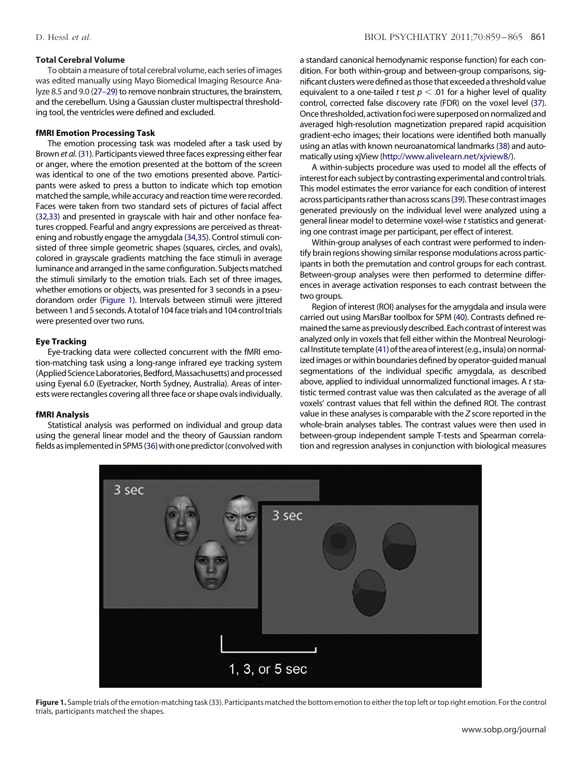# **Total Cerebral Volume**

To obtain ameasure of total cerebral volume, each series of images was edited manually using Mayo Biomedical Imaging Resource Analyze 8.5 and 9.0 [\(27–29\)](#page-6-12) to remove nonbrain structures, the brainstem, and the cerebellum. Using a Gaussian cluster multispectral thresholding tool, the ventricles were defined and excluded.

# **fMRI Emotion Processing Task**

The emotion processing task was modeled after a task used by Brown *et al.* [\(31\)](#page-6-14). Participants viewed three faces expressing either fear or anger, where the emotion presented at the bottom of the screen was identical to one of the two emotions presented above. Participants were asked to press a button to indicate which top emotion matched the sample, while accuracy and reaction time were recorded. Faces were taken from two standard sets of pictures of facial affect [\(32,33\)](#page-6-15) and presented in grayscale with hair and other nonface features cropped. Fearful and angry expressions are perceived as threatening and robustly engage the amygdala [\(34,35\)](#page-6-16). Control stimuli consisted of three simple geometric shapes (squares, circles, and ovals), colored in grayscale gradients matching the face stimuli in average luminance and arranged in the same configuration. Subjects matched the stimuli similarly to the emotion trials. Each set of three images, whether emotions or objects, was presented for 3 seconds in a pseudorandom order [\(Figure 1\)](#page-2-0). Intervals between stimuli were jittered between 1and 5 seconds.A total of 104face trialsand 104 control trials were presented over two runs.

# **Eye Tracking**

Eye-tracking data were collected concurrent with the fMRI emotion-matching task using a long-range infrared eye tracking system (Applied Science Laboratories, Bedford, Massachusetts) and processed using Eyenal 6.0 (Eyetracker, North Sydney, Australia). Areas of interests were rectangles covering all three face or shape ovals individually.

#### **fMRI Analysis**

Statistical analysis was performed on individual and group data using the general linear model and the theory of Gaussian random fields as implemented in SPM5 [\(36\)](#page-6-17) with one predictor (convolved with a standard canonical hemodynamic response function) for each condition. For both within-group and between-group comparisons, significant clusters were defined as those that exceeded a threshold value equivalent to a one-tailed  $t$  test  $p < .$ 01 for a higher level of quality control, corrected false discovery rate (FDR) on the voxel level [\(37\)](#page-6-18). Once thresholded, activation foci were superposed on normalized and averaged high-resolution magnetization prepared rapid acquisition gradient-echo images; their locations were identified both manually using an atlas with known neuroanatomical landmarks [\(38\)](#page-6-19) and automatically using xjView [\(http://www.alivelearn.net/xjview8/\)](http://www.alivelearn.net/xjview8/).

A within-subjects procedure was used to model all the effects of interest for each subject by contrasting experimental and control trials. This model estimates the error variance for each condition of interest across participants rather than across scans [\(39\)](#page-6-20). These contrast images generated previously on the individual level were analyzed using a general linear model to determine voxel-wise *t*statistics and generating one contrast image per participant, per effect of interest.

Within-group analyses of each contrast were performed to indentify brain regions showing similar response modulations across participants in both the premutation and control groups for each contrast. Between-group analyses were then performed to determine differences in average activation responses to each contrast between the two groups.

Region of interest (ROI) analyses for the amygdala and insula were carried out using MarsBar toolbox for SPM [\(40\)](#page-6-21). Contrasts defined remained the same as previously described. Each contrast of interest was analyzed only in voxels that fell either within the Montreal Neurologi-cal Institute template [\(41\)](#page-6-22) of the area of interest (e.g., insula) on normalized images or within boundaries defined by operator-guided manual segmentations of the individual specific amygdala, as described above, applied to individual unnormalized functional images. A *t* statistic termed contrast value was then calculated as the average of all voxels' contrast values that fell within the defined ROI. The contrast value in these analyses is comparable with the *Z* score reported in the whole-brain analyses tables. The contrast values were then used in between-group independent sample T-tests and Spearman correlation and regression analyses in conjunction with biological measures



<span id="page-2-0"></span>**Figure 1.** Sample trials of the emotion-matching task (33). Participants matched the bottom emotion to either the top left or top right emotion. For the control trials, participants matched the shapes.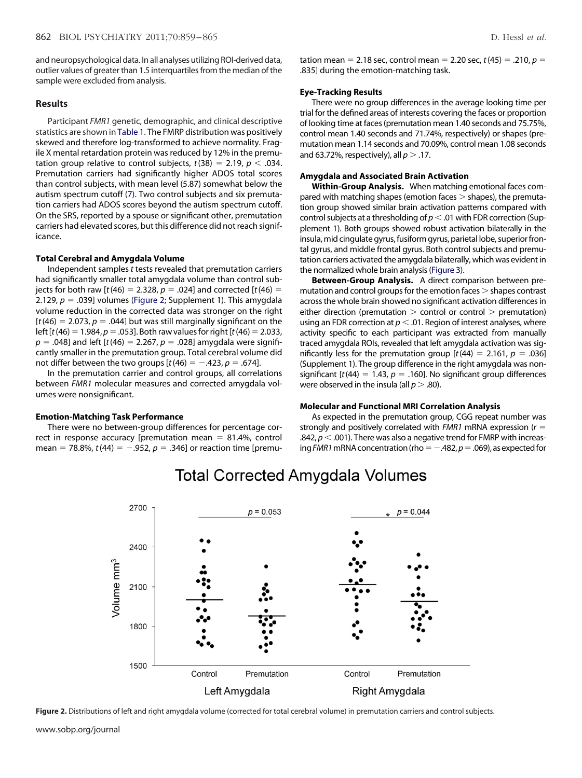and neuropsychological data. In all analyses utilizing ROI-derived data, outlier values of greater than 1.5 interquartiles from the median of the sample were excluded from analysis.

# **Results**

Participant *FMR1* genetic, demographic, and clinical descriptive statistics are shown in [Table 1.](#page-1-0) The FMRP distribution was positively skewed and therefore log-transformed to achieve normality. Fragile X mental retardation protein was reduced by 12% in the premutation group relative to control subjects,  $t(38) = 2.19$ ,  $p < .034$ . Premutation carriers had significantly higher ADOS total scores than control subjects, with mean level (5.87) somewhat below the autism spectrum cutoff [\(7\)](#page-5-4). Two control subjects and six premutation carriers had ADOS scores beyond the autism spectrum cutoff. On the SRS, reported by a spouse or significant other, premutation carriers had elevated scores, but this difference did not reach significance.

# **Total Cerebral and Amygdala Volume**

Independent samples *t* tests revealed that premutation carriers had significantly smaller total amygdala volume than control subjects for both raw [ $t(46) = 2.328$ ,  $p = .024$ ] and corrected [ $t(46) =$ 2.129,  $p = .039$ ] volumes [\(Figure 2;](#page-3-0) Supplement 1). This amygdala volume reduction in the corrected data was stronger on the right  $[t(46) = 2.073, p = .044]$  but was still marginally significant on the left  $[t(46) = 1.984, p = .053]$ . Both raw values for right  $[t(46) = 2.033]$ ,  $p = .048$ ] and left [ $t(46) = 2.267$ ,  $p = .028$ ] amygdala were significantly smaller in the premutation group. Total cerebral volume did not differ between the two groups  $[t(46) = -.423, p = .674]$ .

In the premutation carrier and control groups, all correlations between *FMR1* molecular measures and corrected amygdala volumes were nonsignificant.

#### **Emotion-Matching Task Performance**

There were no between-group differences for percentage correct in response accuracy [premutation mean  $= 81.4%$ , control mean = 78.8%,  $t(44) = -.952$ ,  $p = .346$ ] or reaction time [premutation mean = 2.18 sec, control mean = 2.20 sec,  $t(45) = .210$ ,  $p =$ .835] during the emotion-matching task.

#### **Eye-Tracking Results**

There were no group differences in the average looking time per trial for the defined areas of interests covering the faces or proportion of looking time at faces (premutation mean 1.40 seconds and 75.75%, control mean 1.40 seconds and 71.74%, respectively) or shapes (premutation mean 1.14 seconds and 70.09%, control mean 1.08 seconds and 63.72%, respectively), all  $p > 0.17$ .

### **Amygdala and Associated Brain Activation**

**Within-Group Analysis.** When matching emotional faces compared with matching shapes (emotion faces  $>$  shapes), the premutation group showed similar brain activation patterns compared with control subjects at a thresholding of  $p < 0.01$  with FDR correction (Supplement 1). Both groups showed robust activation bilaterally in the insula, mid cingulate gyrus, fusiform gyrus, parietal lobe, superior frontal gyrus, and middle frontal gyrus. Both control subjects and premutation carriers activated the amygdala bilaterally, which was evident in the normalized whole brain analysis [\(Figure 3\)](#page-4-0).

**Between-Group Analysis.** A direct comparison between premutation and control groups for the emotion faces  $>$  shapes contrast across the whole brain showed no significant activation differences in either direction (premutation  $>$  control or control  $>$  premutation) using an FDR correction at  $p < .01$ . Region of interest analyses, where activity specific to each participant was extracted from manually traced amygdala ROIs, revealed that left amygdala activation was significantly less for the premutation group  $[t(44) = 2.161, p = .036]$ (Supplement 1). The group difference in the right amygdala was nonsignificant  $[t(44) = 1.43, p = .160]$ . No significant group differences were observed in the insula (all  $p > .80$ ).

# **Molecular and Functional MRI Correlation Analysis**

As expected in the premutation group, CGG repeat number was strongly and positively correlated with *FMR1* mRNA expression (*r* .842,  $p$   $<$  .001). There was also a negative trend for FMRP with increasing *FMR1* mRNA concentration (rho =  $-.482$ ,  $p = .069$ ), as expected for



# **Total Corrected Amygdala Volumes**

<span id="page-3-0"></span>Figure 2. Distributions of left and right amygdala volume (corrected for total cerebral volume) in premutation carriers and control subjects.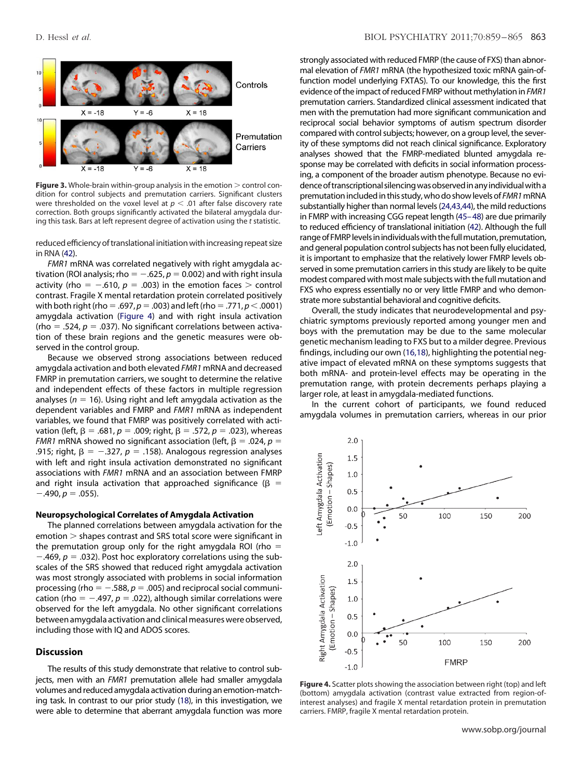

<span id="page-4-0"></span>**Figure 3.** Whole-brain within-group analysis in the emotion  $>$  control condition for control subjects and premutation carriers. Significant clusters were thresholded on the voxel level at  $p < .01$  after false discovery rate correction. Both groups significantly activated the bilateral amygdala during this task. Bars at left represent degree of activation using the *t* statistic.

reduced efficiency of translational initiation with increasing repeat size in RNA [\(42\)](#page-6-23).

*FMR1* mRNA was correlated negatively with right amygdala activation (ROI analysis; rho  $= -0.625$ ,  $p = 0.002$ ) and with right insula activity (rho =  $-.610$ ,  $p = .003$ ) in the emotion faces  $>$  control contrast. Fragile X mental retardation protein correlated positively with both right (rho = .697,  $p$  = .003) and left (rho = .771,  $p$  < .0001) amygdala activation [\(Figure 4\)](#page-4-1) and with right insula activation (rho  $=$  .524,  $p = .037$ ). No significant correlations between activation of these brain regions and the genetic measures were observed in the control group.

Because we observed strong associations between reduced amygdala activation and both elevated *FMR1* mRNA and decreased FMRP in premutation carriers, we sought to determine the relative and independent effects of these factors in multiple regression analyses ( $n = 16$ ). Using right and left amygdala activation as the dependent variables and FMRP and *FMR1* mRNA as independent variables, we found that FMRP was positively correlated with activation (left,  $\beta = .681$ ,  $p = .009$ ; right,  $\beta = .572$ ,  $p = .023$ ), whereas *FMR1* mRNA showed no significant association (left,  $\beta = .024$ ,  $p =$ .915; right,  $\beta = -.327$ ,  $p = .158$ ). Analogous regression analyses with left and right insula activation demonstrated no significant associations with *FMR1* mRNA and an association between FMRP and right insula activation that approached significance ( $\beta$  =  $-.490, p = .055$ ).

### **Neuropsychological Correlates of Amygdala Activation**

The planned correlations between amygdala activation for the  $emotion$   $>$  shapes contrast and SRS total score were significant in the premutation group only for the right amygdala ROI (rho  $=$  $-469$ ,  $p = .032$ ). Post hoc exploratory correlations using the subscales of the SRS showed that reduced right amygdala activation was most strongly associated with problems in social information processing (rho  $=$   $-.588$ ,  $p = .005$ ) and reciprocal social communication (rho  $=$  -.497,  $p = .022$ ), although similar correlations were observed for the left amygdala. No other significant correlations between amygdala activation and clinical measures were observed, including those with IQ and ADOS scores.

# **Discussion**

The results of this study demonstrate that relative to control subjects, men with an *FMR1* premutation allele had smaller amygdala volumes and reduced amygdala activation during an emotion-matching task. In contrast to our prior study [\(18\)](#page-6-3), in this investigation, we were able to determine that aberrant amygdala function was more

strongly associated with reduced FMRP (the cause of FXS) than abnormal elevation of *FMR1* mRNA (the hypothesized toxic mRNA gain-offunction model underlying FXTAS). To our knowledge, this the first evidence of the impact of reduced FMRP without methylation in *FMR1* premutation carriers. Standardized clinical assessment indicated that men with the premutation had more significant communication and reciprocal social behavior symptoms of autism spectrum disorder compared with control subjects; however, on a group level, the severity of these symptoms did not reach clinical significance. Exploratory analyses showed that the FMRP-mediated blunted amygdala response may be correlated with deficits in social information processing, a component of the broader autism phenotype. Because no evidence of transcriptional silencing was observed in any individual with a premutation included in this study, who do show levels of *FMR1*mRNA substantially higher than normal levels [\(24,43,44\)](#page-6-9), the mild reductions in FMRP with increasing CGG repeat length [\(45–48\)](#page-6-24) are due primarily to reduced efficiency of translational initiation [\(42\)](#page-6-23). Although the full range of FMRP levels in individuals with the full mutation, premutation, and general population control subjects has not been fully elucidated, it is important to emphasize that the relatively lower FMRP levels observed in some premutation carriers in this study are likely to be quite modest compared with most male subjects with the full mutation and FXS who express essentially no or very little FMRP and who demonstrate more substantial behavioral and cognitive deficits.

Overall, the study indicates that neurodevelopmental and psychiatric symptoms previously reported among younger men and boys with the premutation may be due to the same molecular genetic mechanism leading to FXS but to a milder degree. Previous findings, including our own [\(16,18\)](#page-6-4), highlighting the potential negative impact of elevated mRNA on these symptoms suggests that both mRNA- and protein-level effects may be operating in the premutation range, with protein decrements perhaps playing a larger role, at least in amygdala-mediated functions.

In the current cohort of participants, we found reduced amygdala volumes in premutation carriers, whereas in our prior



<span id="page-4-1"></span>**Figure 4.** Scatter plots showing the association between right (top) and left (bottom) amygdala activation (contrast value extracted from region-ofinterest analyses) and fragile X mental retardation protein in premutation carriers. FMRP, fragile X mental retardation protein.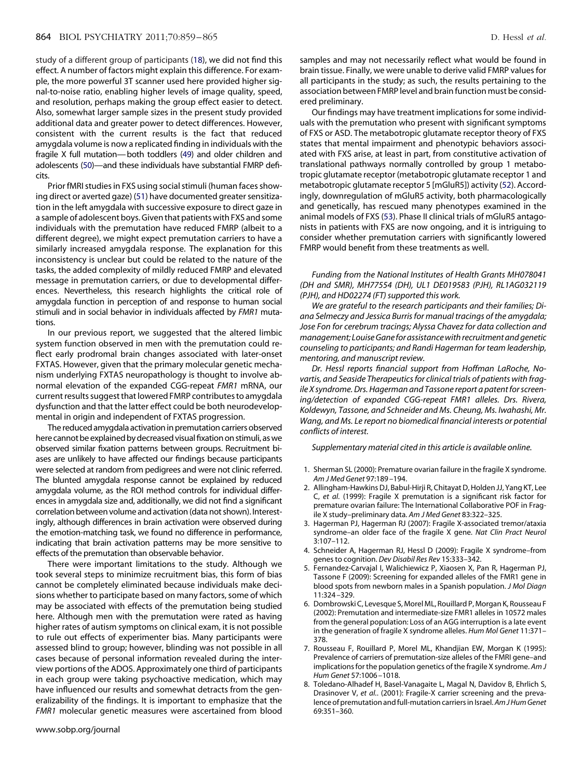study of a different group of participants [\(18\)](#page-6-3), we did not find this effect. A number of factors might explain this difference. For example, the more powerful 3T scanner used here provided higher signal-to-noise ratio, enabling higher levels of image quality, speed, and resolution, perhaps making the group effect easier to detect. Also, somewhat larger sample sizes in the present study provided additional data and greater power to detect differences. However, consistent with the current results is the fact that reduced amygdala volume is now a replicated finding in individuals with the fragile X full mutation—both toddlers [\(49\)](#page-6-25) and older children and adolescents [\(50\)](#page-6-26)—and these individuals have substantial FMRP deficits.

Prior fMRI studies in FXS using social stimuli (human faces showing direct or averted gaze) [\(51\)](#page-6-27) have documented greater sensitization in the left amygdala with successive exposure to direct gaze in a sample of adolescent boys. Given that patients with FXS and some individuals with the premutation have reduced FMRP (albeit to a different degree), we might expect premutation carriers to have a similarly increased amygdala response. The explanation for this inconsistency is unclear but could be related to the nature of the tasks, the added complexity of mildly reduced FMRP and elevated message in premutation carriers, or due to developmental differences. Nevertheless, this research highlights the critical role of amygdala function in perception of and response to human social stimuli and in social behavior in individuals affected by *FMR1* mutations.

In our previous report, we suggested that the altered limbic system function observed in men with the premutation could reflect early prodromal brain changes associated with later-onset FXTAS. However, given that the primary molecular genetic mechanism underlying FXTAS neuropathology is thought to involve abnormal elevation of the expanded CGG-repeat *FMR1* mRNA, our current results suggest that lowered FMRP contributes to amygdala dysfunction and that the latter effect could be both neurodevelopmental in origin and independent of FXTAS progression.

The reduced amygdala activation in premutation carriers observed here cannot be explained by decreased visual fixation on stimuli, as we observed similar fixation patterns between groups. Recruitment biases are unlikely to have affected our findings because participants were selected at random from pedigrees and were not clinic referred. The blunted amygdala response cannot be explained by reduced amygdala volume, as the ROI method controls for individual differences in amygdala size and, additionally, we did not find a significant correlation between volume and activation (data not shown). Interestingly, although differences in brain activation were observed during the emotion-matching task, we found no difference in performance, indicating that brain activation patterns may be more sensitive to effects of the premutation than observable behavior.

There were important limitations to the study. Although we took several steps to minimize recruitment bias, this form of bias cannot be completely eliminated because individuals make decisions whether to participate based on many factors, some of which may be associated with effects of the premutation being studied here. Although men with the premutation were rated as having higher rates of autism symptoms on clinical exam, it is not possible to rule out effects of experimenter bias. Many participants were assessed blind to group; however, blinding was not possible in all cases because of personal information revealed during the interview portions of the ADOS. Approximately one third of participants in each group were taking psychoactive medication, which may have influenced our results and somewhat detracts from the generalizability of the findings. It is important to emphasize that the *FMR1* molecular genetic measures were ascertained from blood

samples and may not necessarily reflect what would be found in brain tissue. Finally, we were unable to derive valid FMRP values for all participants in the study; as such, the results pertaining to the association between FMRP level and brain function must be considered preliminary.

Our findings may have treatment implications for some individuals with the premutation who present with significant symptoms of FXS or ASD. The metabotropic glutamate receptor theory of FXS states that mental impairment and phenotypic behaviors associated with FXS arise, at least in part, from constitutive activation of translational pathways normally controlled by group 1 metabotropic glutamate receptor (metabotropic glutamate receptor 1 and metabotropic glutamate receptor 5 [mGluR5]) activity [\(52\)](#page-6-28). Accordingly, downregulation of mGluR5 activity, both pharmacologically and genetically, has rescued many phenotypes examined in the animal models of FXS [\(53\)](#page-6-29). Phase II clinical trials of mGluR5 antagonists in patients with FXS are now ongoing, and it is intriguing to consider whether premutation carriers with significantly lowered FMRP would benefit from these treatments as well.

*Funding from the National Institutes of Health Grants MH078041 (DH and SMR), MH77554 (DH), UL1 DE019583 (PJH), RL1AG032119 (PJH), and HD02274 (FT) supported this work.*

*We are grateful to the research participants and their families; Diana Selmeczy and Jessica Burris for manual tracings of the amygdala; Jose Fon for cerebrum tracings; Alyssa Chavez for data collection and management; LouiseGanefor assistance with recruitment and genetic counseling to participants; and Randi Hagerman for team leadership, mentoring, and manuscript review.*

*Dr. Hessl reports financial support from Hoffman LaRoche, Novartis, and Seaside Therapeutics for clinical trials of patients with fragile X syndrome. Drs. Hagerman and Tassone report a patent for screening/detection of expanded CGG-repeat FMR1 alleles. Drs. Rivera, Koldewyn, Tassone, and Schneider and Ms. Cheung, Ms. Iwahashi, Mr. Wang, and Ms. Le report no biomedical financial interests or potential conflicts of interest.*

*Supplementary material cited in this article is available online.*

- <span id="page-5-0"></span>1. Sherman SL (2000): Premature ovarian failure in the fragile X syndrome. *Am J Med Genet* 97:189 –194.
- 2. Allingham-Hawkins DJ, Babul-Hirji R, Chitayat D, Holden JJ, Yang KT, Lee C, *et al.* (1999): Fragile X premutation is a significant risk factor for premature ovarian failure: The International Collaborative POF in Fragile X study–preliminary data. *Am J Med Genet* 83:322–325.
- <span id="page-5-2"></span><span id="page-5-1"></span>3. Hagerman PJ, Hagerman RJ (2007): Fragile X-associated tremor/ataxia syndrome–an older face of the fragile X gene. *Nat Clin Pract Neurol* 3:107–112.
- <span id="page-5-3"></span>4. Schneider A, Hagerman RJ, Hessl D (2009): Fragile X syndrome–from genes to cognition. *Dev Disabil Res Rev* 15:333–342.
- 5. Fernandez-Carvajal I, Walichiewicz P, Xiaosen X, Pan R, Hagerman PJ, Tassone F (2009): Screening for expanded alleles of the FMR1 gene in blood spots from newborn males in a Spanish population. *J Mol Diagn* 11:324 –329.
- 6. Dombrowski C, Levesque S, Morel ML, Rouillard P, Morgan K, Rousseau F (2002): Premutation and intermediate-size FMR1 alleles in 10572 males from the general population: Loss of an AGG interruption is a late event in the generation of fragile X syndrome alleles. *Hum Mol Genet* 11:371– 378.
- <span id="page-5-4"></span>7. Rousseau F, Rouillard P, Morel ML, Khandjian EW, Morgan K (1995): Prevalence of carriers of premutation-size alleles of the FMRI gene–and implications for the population genetics of the fragile X syndrome. *Am J Hum Genet* 57:1006 –1018.
- 8. Toledano-Alhadef H, Basel-Vanagaite L, Magal N, Davidov B, Ehrlich S, Drasinover V, *et al.*. (2001): Fragile-X carrier screening and the prevalence of premutation andfull-mutation carriers in Israel.*Am J Hum Genet* 69:351–360.